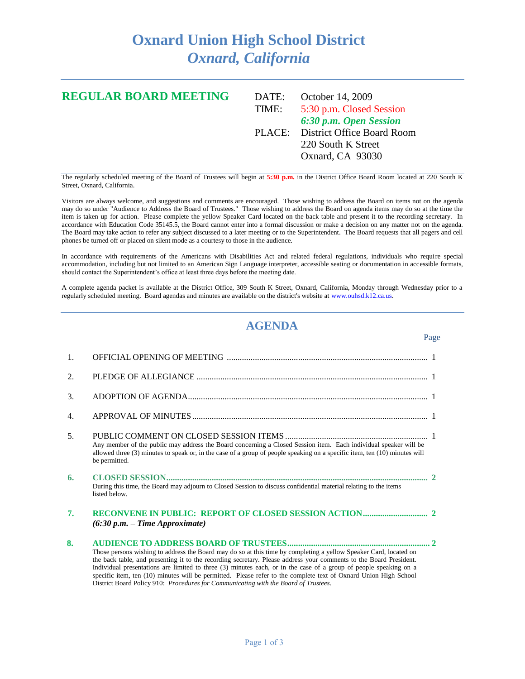## **Oxnard Union High School District** *Oxnard, California*

## **REGULAR BOARD MEETING** DATE: October 14, 2009 TIME: 5:30 p.m. Closed Session *6:30 p.m. Open Session* PLACE: District Office Board Room 220 South K Street Oxnard, CA 93030

The regularly scheduled meeting of the Board of Trustees will begin at **5:30 p.m.** in the District Office Board Room located at 220 South K Street, Oxnard, California.

Visitors are always welcome, and suggestions and comments are encouraged. Those wishing to address the Board on items not on the agenda may do so under "Audience to Address the Board of Trustees." Those wishing to address the Board on agenda items may do so at the time the item is taken up for action. Please complete the yellow Speaker Card located on the back table and present it to the recording secretary. In accordance with Education Code 35145.5, the Board cannot enter into a formal discussion or make a decision on any matter not on the agenda. The Board may take action to refer any subject discussed to a later meeting or to the Superintendent. The Board requests that all pagers and cell phones be turned off or placed on silent mode as a courtesy to those in the audience.

In accordance with requirements of the Americans with Disabilities Act and related federal regulations, individuals who require special accommodation, including but not limited to an American Sign Language interpreter, accessible seating or documentation in accessible formats, should contact the Superintendent's office at least three days before the meeting date.

A complete agenda packet is available at the District Office, 309 South K Street, Oxnard, California, Monday through Wednesday prior to a regularly scheduled meeting. Board agendas and minutes are available on the district's website a[t www.ouhsd.k12.ca.us.](http://www.ouhsd.k12.ca.us/)

## **AGENDA**

Page

| 1. |                                                                                                                                                                                                                                                                                                                                                                                                                                                                                                                                                                         |
|----|-------------------------------------------------------------------------------------------------------------------------------------------------------------------------------------------------------------------------------------------------------------------------------------------------------------------------------------------------------------------------------------------------------------------------------------------------------------------------------------------------------------------------------------------------------------------------|
| 2. |                                                                                                                                                                                                                                                                                                                                                                                                                                                                                                                                                                         |
| 3. |                                                                                                                                                                                                                                                                                                                                                                                                                                                                                                                                                                         |
| 4. |                                                                                                                                                                                                                                                                                                                                                                                                                                                                                                                                                                         |
| 5. | Any member of the public may address the Board concerning a Closed Session item. Each individual speaker will be<br>allowed three (3) minutes to speak or, in the case of a group of people speaking on a specific item, ten (10) minutes will<br>be permitted.                                                                                                                                                                                                                                                                                                         |
| 6. | During this time, the Board may adjourn to Closed Session to discuss confidential material relating to the items<br>listed below.                                                                                                                                                                                                                                                                                                                                                                                                                                       |
| 7. | $(6:30 p.m. - Time Approximate)$                                                                                                                                                                                                                                                                                                                                                                                                                                                                                                                                        |
| 8. | Those persons wishing to address the Board may do so at this time by completing a yellow Speaker Card, located on<br>the back table, and presenting it to the recording secretary. Please address your comments to the Board President.<br>Individual presentations are limited to three (3) minutes each, or in the case of a group of people speaking on a<br>specific item, ten (10) minutes will be permitted. Please refer to the complete text of Oxnard Union High School<br>District Board Policy 910: Procedures for Communicating with the Board of Trustees. |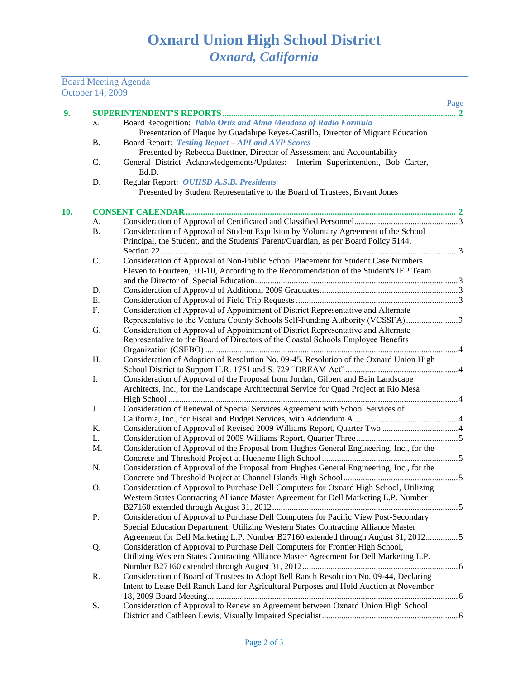Board Meeting Agenda

|     | October 14, 2009 |                                                                                          |      |  |  |
|-----|------------------|------------------------------------------------------------------------------------------|------|--|--|
|     |                  |                                                                                          | Page |  |  |
| 9.  |                  | Board Recognition: Pablo Ortiz and Alma Mendoza of Radio Formula                         |      |  |  |
|     | A.               | Presentation of Plaque by Guadalupe Reyes-Castillo, Director of Migrant Education        |      |  |  |
|     | Β.               | Board Report: Testing Report - API and AYP Scores                                        |      |  |  |
|     |                  | Presented by Rebecca Buettner, Director of Assessment and Accountability                 |      |  |  |
|     | C.               | General District Acknowledgements/Updates: Interim Superintendent, Bob Carter,           |      |  |  |
|     |                  | Ed.D.                                                                                    |      |  |  |
|     | D.               | Regular Report: OUHSD A.S.B. Presidents                                                  |      |  |  |
|     |                  | Presented by Student Representative to the Board of Trustees, Bryant Jones               |      |  |  |
|     |                  |                                                                                          |      |  |  |
| 10. |                  |                                                                                          |      |  |  |
|     | A.               |                                                                                          |      |  |  |
|     | <b>B.</b>        | Consideration of Approval of Student Expulsion by Voluntary Agreement of the School      |      |  |  |
|     |                  | Principal, the Student, and the Students' Parent/Guardian, as per Board Policy 5144,     |      |  |  |
|     |                  |                                                                                          |      |  |  |
|     | C.               | Consideration of Approval of Non-Public School Placement for Student Case Numbers        |      |  |  |
|     |                  | Eleven to Fourteen, 09-10, According to the Recommendation of the Student's IEP Team     |      |  |  |
|     |                  |                                                                                          |      |  |  |
|     | D.               |                                                                                          |      |  |  |
|     | E.               |                                                                                          |      |  |  |
|     | F.               | Consideration of Approval of Appointment of District Representative and Alternate        |      |  |  |
|     |                  | Representative to the Ventura County Schools Self-Funding Authority (VCSSFA)             |      |  |  |
|     | G.               | Consideration of Approval of Appointment of District Representative and Alternate        |      |  |  |
|     |                  | Representative to the Board of Directors of the Coastal Schools Employee Benefits        |      |  |  |
|     |                  |                                                                                          |      |  |  |
|     | H.               | Consideration of Adoption of Resolution No. 09-45, Resolution of the Oxnard Union High   |      |  |  |
|     |                  |                                                                                          |      |  |  |
|     | I.               | Consideration of Approval of the Proposal from Jordan, Gilbert and Bain Landscape        |      |  |  |
|     |                  | Architects, Inc., for the Landscape Architectural Service for Quad Project at Rio Mesa   |      |  |  |
|     |                  |                                                                                          |      |  |  |
|     | J.               | Consideration of Renewal of Special Services Agreement with School Services of           |      |  |  |
|     |                  |                                                                                          |      |  |  |
|     | K.               |                                                                                          |      |  |  |
|     | L.               |                                                                                          |      |  |  |
|     | M.               | Consideration of Approval of the Proposal from Hughes General Engineering, Inc., for the |      |  |  |
|     |                  |                                                                                          |      |  |  |
|     | N.               | Consideration of Approval of the Proposal from Hughes General Engineering, Inc., for the |      |  |  |
|     |                  |                                                                                          |      |  |  |
|     | Ο.               | Consideration of Approval to Purchase Dell Computers for Oxnard High School, Utilizing   |      |  |  |
|     |                  | Western States Contracting Alliance Master Agreement for Dell Marketing L.P. Number      |      |  |  |
|     |                  |                                                                                          |      |  |  |
|     | P.               | Consideration of Approval to Purchase Dell Computers for Pacific View Post-Secondary     |      |  |  |
|     |                  | Special Education Department, Utilizing Western States Contracting Alliance Master       |      |  |  |
|     |                  | Agreement for Dell Marketing L.P. Number B27160 extended through August 31, 20125        |      |  |  |
|     | Q.               | Consideration of Approval to Purchase Dell Computers for Frontier High School,           |      |  |  |
|     |                  | Utilizing Western States Contracting Alliance Master Agreement for Dell Marketing L.P.   |      |  |  |
|     |                  |                                                                                          |      |  |  |
|     |                  |                                                                                          |      |  |  |
|     | R.               | Consideration of Board of Trustees to Adopt Bell Ranch Resolution No. 09-44, Declaring   |      |  |  |
|     |                  | Intent to Lease Bell Ranch Land for Agricultural Purposes and Hold Auction at November   |      |  |  |
|     |                  |                                                                                          |      |  |  |
|     | S.               | Consideration of Approval to Renew an Agreement between Oxnard Union High School         |      |  |  |
|     |                  |                                                                                          |      |  |  |